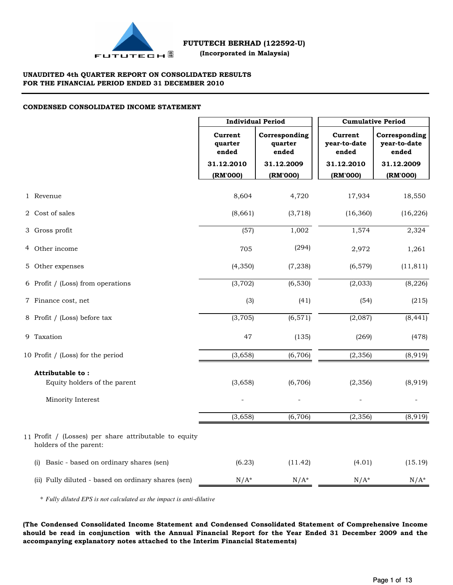

## **UNAUDITED 4th QUARTER REPORT ON CONSOLIDATED RESULTS FOR THE FINANCIAL PERIOD ENDED 31 DECEMBER 2010**

## **CONDENSED CONSOLIDATED INCOME STATEMENT**

|                                                                                 |                             | <b>Individual Period</b>          |                                  | <b>Cumulative Period</b>               |  |  |  |
|---------------------------------------------------------------------------------|-----------------------------|-----------------------------------|----------------------------------|----------------------------------------|--|--|--|
|                                                                                 | Current<br>quarter<br>ended | Corresponding<br>quarter<br>ended | Current<br>year-to-date<br>ended | Corresponding<br>year-to-date<br>ended |  |  |  |
|                                                                                 | 31.12.2010<br>(RM'000)      | 31.12.2009<br>(RM'000)            | 31.12.2010<br>(RM'000)           | 31.12.2009<br>(RM'000)                 |  |  |  |
| 1 Revenue                                                                       | 8,604                       | 4,720                             | 17,934                           | 18,550                                 |  |  |  |
| 2 Cost of sales                                                                 | (8,661)                     | (3, 718)                          | (16, 360)                        | (16, 226)                              |  |  |  |
| 3 Gross profit                                                                  | (57)                        | 1,002                             | 1,574                            | 2,324                                  |  |  |  |
| 4 Other income                                                                  | 705                         | (294)                             | 2,972                            | 1,261                                  |  |  |  |
| 5 Other expenses                                                                | (4, 350)                    | (7, 238)                          | (6, 579)                         | (11, 811)                              |  |  |  |
| 6 Profit / (Loss) from operations                                               | (3, 702)                    | (6, 530)                          | (2,033)                          | (8, 226)                               |  |  |  |
| 7 Finance cost, net                                                             | (3)                         | (41)                              | (54)                             | (215)                                  |  |  |  |
| 8 Profit / (Loss) before tax                                                    | (3,705)                     | (6, 571)                          | (2,087)                          | (8, 441)                               |  |  |  |
| 9 Taxation                                                                      | 47                          | (135)                             | (269)                            | (478)                                  |  |  |  |
| 10 Profit / (Loss) for the period                                               | (3,658)                     | (6, 706)                          | (2, 356)                         | (8,919)                                |  |  |  |
| Attributable to:                                                                |                             |                                   |                                  |                                        |  |  |  |
| Equity holders of the parent                                                    | (3,658)                     | (6, 706)                          | (2, 356)                         | (8,919)                                |  |  |  |
| Minority Interest                                                               |                             |                                   |                                  |                                        |  |  |  |
|                                                                                 | (3,658)                     | (6, 706)                          | (2, 356)                         | (8,919)                                |  |  |  |
| 11 Profit / (Losses) per share attributable to equity<br>holders of the parent: |                             |                                   |                                  |                                        |  |  |  |
| Basic - based on ordinary shares (sen)<br>(i)                                   | (6.23)                      | (11.42)                           | (4.01)                           | (15.19)                                |  |  |  |
| (ii) Fully diluted - based on ordinary shares (sen)                             | $N/A^*$                     | $N/A^*$                           | $N/A^*$                          | $N/A^*$                                |  |  |  |

\* *Fully diluted EPS is not calculated as the impact is anti-dilutive*

**(The Condensed Consolidated Income Statement and Condensed Consolidated Statement of Comprehensive Income should be read in conjunction with the Annual Financial Report for the Year Ended 31 December 2009 and the accompanying explanatory notes attached to the Interim Financial Statements)**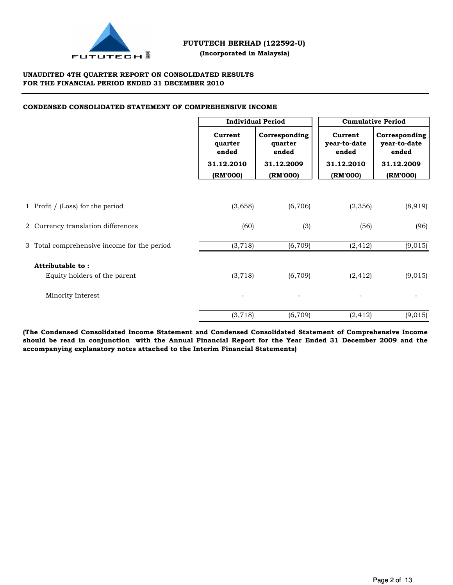

 **(Incorporated in Malaysia)**

## **UNAUDITED 4TH QUARTER REPORT ON CONSOLIDATED RESULTS FOR THE FINANCIAL PERIOD ENDED 31 DECEMBER 2010**

## **CONDENSED CONSOLIDATED STATEMENT OF COMPREHENSIVE INCOME**

|                                             |                                           | <b>Individual Period</b>                        |                                                | <b>Cumulative Period</b>                             |  |  |  |
|---------------------------------------------|-------------------------------------------|-------------------------------------------------|------------------------------------------------|------------------------------------------------------|--|--|--|
|                                             | Current<br>quarter<br>ended<br>31.12.2010 | Corresponding<br>quarter<br>ended<br>31.12.2009 | Current<br>year-to-date<br>ended<br>31.12.2010 | Corresponding<br>year-to-date<br>ended<br>31.12.2009 |  |  |  |
|                                             | (RM'000)                                  | (RM'000)                                        | (RM'000)                                       | (RM'000)                                             |  |  |  |
| 1 Profit / (Loss) for the period            | (3,658)                                   | (6,706)                                         | (2,356)                                        | (8,919)                                              |  |  |  |
|                                             |                                           |                                                 |                                                |                                                      |  |  |  |
| 2 Currency translation differences          | (60)                                      | (3)                                             | (56)                                           | (96)                                                 |  |  |  |
| 3 Total comprehensive income for the period | (3, 718)                                  | (6, 709)                                        | (2, 412)                                       | (9,015)                                              |  |  |  |
| Attributable to:                            |                                           |                                                 |                                                |                                                      |  |  |  |
| Equity holders of the parent                | (3,718)                                   | (6, 709)                                        | (2, 412)                                       | (9,015)                                              |  |  |  |
| Minority Interest                           |                                           | $\overline{\phantom{a}}$                        |                                                |                                                      |  |  |  |
|                                             | (3, 718)                                  | (6, 709)                                        | (2, 412)                                       | (9,015)                                              |  |  |  |

**(The Condensed Consolidated Income Statement and Condensed Consolidated Statement of Comprehensive Income should be read in conjunction with the Annual Financial Report for the Year Ended 31 December 2009 and the accompanying explanatory notes attached to the Interim Financial Statements)**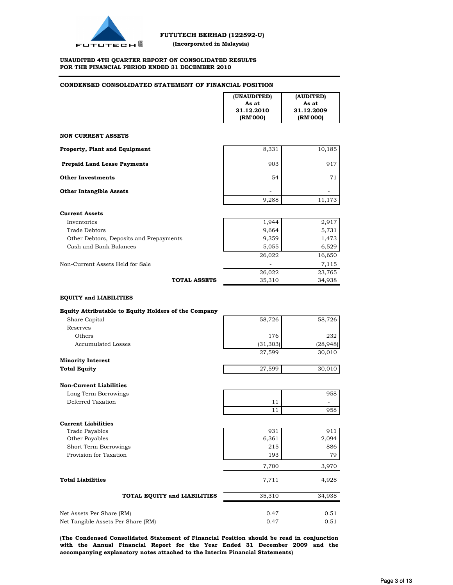

 **(Incorporated in Malaysia)**

#### **UNAUDITED 4TH QUARTER REPORT ON CONSOLIDATED RESULTS FOR THE FINANCIAL PERIOD ENDED 31 DECEMBER 2010**

### **CONDENSED CONSOLIDATED STATEMENT OF FINANCIAL POSITION**

|                                                                                                                                   | (UNAUDITED)<br>As at<br>31.12.2010<br>(RM'000) | (AUDITED)<br>As at<br>31.12.2009<br>(RM'000) |
|-----------------------------------------------------------------------------------------------------------------------------------|------------------------------------------------|----------------------------------------------|
| <b>NON CURRENT ASSETS</b>                                                                                                         |                                                |                                              |
| <b>Property, Plant and Equipment</b>                                                                                              | 8,331                                          | 10,185                                       |
| <b>Prepaid Land Lease Payments</b>                                                                                                | 903                                            | 917                                          |
| <b>Other Investments</b>                                                                                                          | 54                                             | 71                                           |
| <b>Other Intangible Assets</b>                                                                                                    | 9,288                                          | 11,173                                       |
| <b>Current Assets</b><br>Inventories<br><b>Trade Debtors</b><br>Other Debtors, Deposits and Prepayments<br>Cash and Bank Balances | 1,944<br>9,664<br>9,359<br>5,055<br>26,022     | 2,917<br>5,731<br>1,473<br>6,529<br>16,650   |
| Non-Current Assets Held for Sale<br><b>TOTAL ASSETS</b>                                                                           | 26,022<br>35,310                               | 7,115<br>23,765<br>34,938                    |
| Equity Attributable to Equity Holders of the Company<br>Share Capital<br>Reserves                                                 | 58,726                                         | 58,726                                       |
| Others<br><b>Accumulated Losses</b>                                                                                               | 176<br>(31, 303)                               | 232<br>(28, 948)                             |
| <b>Minority Interest</b><br><b>Total Equity</b>                                                                                   | 27,599<br>27,599                               | 30,010<br>30,010                             |
| <b>Non-Current Liabilities</b><br>Long Term Borrowings<br>Deferred Taxation                                                       | 11<br>11                                       | 958<br>958                                   |
| <b>Current Liabilities</b><br><b>Trade Payables</b><br>Other Payables<br>Short Term Borrowings<br>Provision for Taxation          | 931<br>6,361<br>215<br>193<br>7,700            | 911<br>2,094<br>886<br>79<br>3,970           |
| <b>Total Liabilities</b>                                                                                                          | 7,711                                          | 4,928                                        |
| TOTAL EQUITY and LIABILITIES                                                                                                      | 35,310                                         | 34,938                                       |
| Net Assets Per Share (RM)                                                                                                         | 0.47                                           | 0.51                                         |

Net Tangible Assets Per Share (RM) Net Assets Per Share (RM)

**(The Condensed Consolidated Statement of Financial Position should be read in conjunction with the Annual Financial Report for the Year Ended 31 December 2009 and the accompanying explanatory notes attached to the Interim Financial Statements)**

0.51 0.47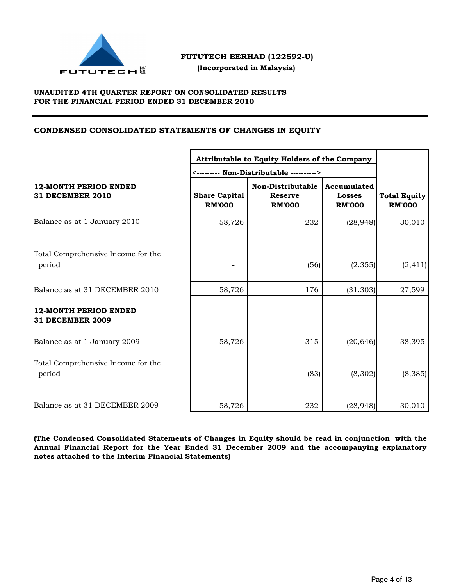

 **(Incorporated in Malaysia)**

## **UNAUDITED 4TH QUARTER REPORT ON CONSOLIDATED RESULTS FOR THE FINANCIAL PERIOD ENDED 31 DECEMBER 2010**

## **CONDENSED CONSOLIDATED STATEMENTS OF CHANGES IN EQUITY**

|                                                         | Attributable to Equity Holders of the Company |                                                      |                                               |                                      |  |  |  |
|---------------------------------------------------------|-----------------------------------------------|------------------------------------------------------|-----------------------------------------------|--------------------------------------|--|--|--|
|                                                         |                                               |                                                      |                                               |                                      |  |  |  |
| <b>12-MONTH PERIOD ENDED</b><br><b>31 DECEMBER 2010</b> | <b>Share Capital</b><br><b>RM'000</b>         | Non-Distributable<br><b>Reserve</b><br><b>RM'000</b> | Accumulated<br><b>Losses</b><br><b>RM'000</b> | <b>Total Equity</b><br><b>RM'000</b> |  |  |  |
| Balance as at 1 January 2010                            | 58,726                                        | 232                                                  | (28, 948)                                     | 30,010                               |  |  |  |
| Total Comprehensive Income for the<br>period            |                                               | (56)                                                 | (2, 355)                                      | (2, 411)                             |  |  |  |
| Balance as at 31 DECEMBER 2010                          | 58,726                                        | 176                                                  | (31, 303)                                     | 27,599                               |  |  |  |
| <b>12-MONTH PERIOD ENDED</b><br><b>31 DECEMBER 2009</b> |                                               |                                                      |                                               |                                      |  |  |  |
| Balance as at 1 January 2009                            | 58,726                                        | 315                                                  | (20, 646)                                     | 38,395                               |  |  |  |
| Total Comprehensive Income for the<br>period            |                                               | (83)                                                 | (8, 302)                                      | (8, 385)                             |  |  |  |
| Balance as at 31 DECEMBER 2009                          | 58,726                                        | 232                                                  | (28, 948)                                     | 30,010                               |  |  |  |

**(The Condensed Consolidated Statements of Changes in Equity should be read in conjunction with the Annual Financial Report for the Year Ended 31 December 2009 and the accompanying explanatory notes attached to the Interim Financial Statements)**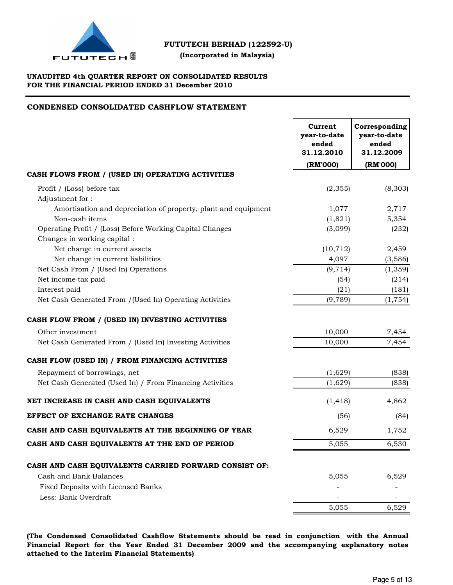

## **(Incorporated in Malaysia)**

## **UNAUDITED 4th QUARTER REPORT ON CONSOLIDATED RESULTS FOR THE FINANCIAL PERIOD ENDED 31 December 2010**

## **CONDENSED CONSOLIDATED CASHFLOW STATEMENT**

|                                                                                 | Current<br>year-to-date<br>ended<br>31.12.2010 | Corresponding<br>year-to-date<br>ended<br>31.12.2009 |
|---------------------------------------------------------------------------------|------------------------------------------------|------------------------------------------------------|
| CASH FLOWS FROM / (USED IN) OPERATING ACTIVITIES                                | (RM'000)                                       | (RM'000)                                             |
|                                                                                 |                                                |                                                      |
| Profit / (Loss) before tax<br>Adjustment for:                                   | (2, 355)                                       | (8,303)                                              |
| Amortisation and depreciation of property, plant and equipment                  | 1,077                                          | 2,717                                                |
| Non-cash items                                                                  | (1,821)                                        | 5,354                                                |
| Operating Profit / (Loss) Before Working Capital Changes                        | (3,099)                                        | (232)                                                |
| Changes in working capital :                                                    |                                                |                                                      |
| Net change in current assets                                                    | (10, 712)                                      | 2,459                                                |
| Net change in current liabilities                                               | 4,097                                          | (3,586)                                              |
| Net Cash From / (Used In) Operations                                            | (9, 714)                                       | (1, 359)                                             |
| Net income tax paid                                                             | (54)                                           | (214)                                                |
| Interest paid                                                                   | (21)                                           | (181)                                                |
| Net Cash Generated From /(Used In) Operating Activities                         | (9,789)                                        | (1, 754)                                             |
| CASH FLOW FROM / (USED IN) INVESTING ACTIVITIES                                 |                                                |                                                      |
| Other investment                                                                | 10,000                                         | 7,454                                                |
| Net Cash Generated From / (Used In) Investing Activities                        | 10,000                                         | 7,454                                                |
| CASH FLOW (USED IN) / FROM FINANCING ACTIVITIES                                 |                                                |                                                      |
| Repayment of borrowings, net                                                    | (1,629)                                        | (838)                                                |
| Net Cash Generated (Used In) / From Financing Activities                        | (1,629)                                        | (838)                                                |
| NET INCREASE IN CASH AND CASH EQUIVALENTS                                       | (1, 418)                                       | 4,862                                                |
| <b>EFFECT OF EXCHANGE RATE CHANGES</b>                                          | (56)                                           | (84)                                                 |
| CASH AND CASH EQUIVALENTS AT THE BEGINNING OF YEAR                              | 6,529                                          | 1,752                                                |
| CASH AND CASH EQUIVALENTS AT THE END OF PERIOD                                  | 5,055                                          | 6,530                                                |
|                                                                                 |                                                |                                                      |
| CASH AND CASH EQUIVALENTS CARRIED FORWARD CONSIST OF:<br>Cash and Bank Balances | 5,055                                          | 6,529                                                |
|                                                                                 |                                                |                                                      |
| Fixed Deposits with Licensed Banks<br>Less: Bank Overdraft                      |                                                |                                                      |
|                                                                                 | 5,055                                          | 6,529                                                |
|                                                                                 |                                                |                                                      |

**(The Condensed Consolidated Cashflow Statements should be read in conjunction with the Annual Financial Report for the Year Ended 31 December 2009 and the accompanying explanatory notes attached to the Interim Financial Statements)**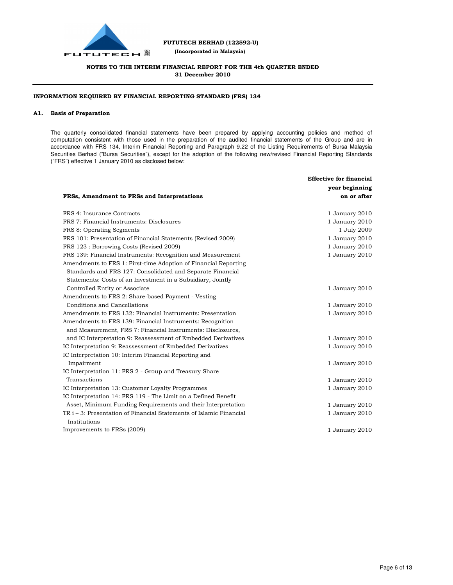

 **(Incorporated in Malaysia)**

## **NOTES TO THE INTERIM FINANCIAL REPORT FOR THE 4th QUARTER ENDED 31 December 2010**

### **INFORMATION REQUIRED BY FINANCIAL REPORTING STANDARD (FRS) 134**

#### **A1. Basis of Preparation**

The quarterly consolidated financial statements have been prepared by applying accounting policies and method of computation consistent with those used in the preparation of the audited financial statements of the Group and are in accordance with FRS 134, Interim Financial Reporting and Paragraph 9.22 of the Listing Requirements of Bursa Malaysia Securities Berhad ("Bursa Securities"), except for the adoption of the following new/revised Financial Reporting Standards ("FRS") effective 1 January 2010 as disclosed below:

|                                                                     | <b>Effective for financial</b> |
|---------------------------------------------------------------------|--------------------------------|
| FRSs, Amendment to FRSs and Interpretations                         | year beginning<br>on or after  |
|                                                                     |                                |
| FRS 4: Insurance Contracts                                          | 1 January 2010                 |
| FRS 7: Financial Instruments: Disclosures                           | 1 January 2010                 |
| FRS 8: Operating Segments                                           | 1 July 2009                    |
| FRS 101: Presentation of Financial Statements (Revised 2009)        | 1 January 2010                 |
| FRS 123 : Borrowing Costs (Revised 2009)                            | 1 January 2010                 |
| FRS 139: Financial Instruments: Recognition and Measurement         | 1 January 2010                 |
| Amendments to FRS 1: First-time Adoption of Financial Reporting     |                                |
| Standards and FRS 127: Consolidated and Separate Financial          |                                |
| Statements: Costs of an Investment in a Subsidiary, Jointly         |                                |
| Controlled Entity or Associate                                      | 1 January 2010                 |
| Amendments to FRS 2: Share-based Payment - Vesting                  |                                |
| Conditions and Cancellations                                        | 1 January 2010                 |
| Amendments to FRS 132: Financial Instruments: Presentation          | 1 January 2010                 |
| Amendments to FRS 139: Financial Instruments: Recognition           |                                |
| and Measurement, FRS 7: Financial Instruments: Disclosures,         |                                |
| and IC Interpretation 9: Reassessment of Embedded Derivatives       | 1 January 2010                 |
| IC Interpretation 9: Reassessment of Embedded Derivatives           | 1 January 2010                 |
| IC Interpretation 10: Interim Financial Reporting and               |                                |
| Impairment                                                          | 1 January 2010                 |
| IC Interpretation 11: FRS 2 - Group and Treasury Share              |                                |
| Transactions                                                        | 1 January 2010                 |
| IC Interpretation 13: Customer Loyalty Programmes                   | 1 January 2010                 |
| IC Interpretation 14: FRS 119 - The Limit on a Defined Benefit      |                                |
| Asset, Minimum Funding Requirements and their Interpretation        | 1 January 2010                 |
| TR i – 3: Presentation of Financial Statements of Islamic Financial | 1 January 2010                 |
| Institutions                                                        |                                |
| Improvements to FRSs (2009)                                         | 1 January 2010                 |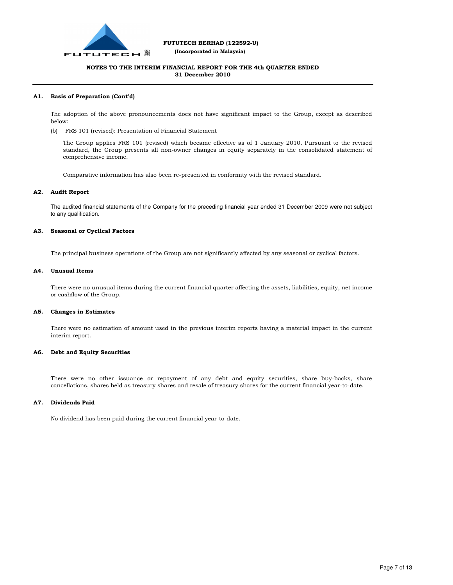

 **(Incorporated in Malaysia)**

## **NOTES TO THE INTERIM FINANCIAL REPORT FOR THE 4th QUARTER ENDED 31 December 2010**

#### **A1. Basis of Preparation (Cont'd)**

The adoption of the above pronouncements does not have significant impact to the Group, except as described below:

(b) FRS 101 (revised): Presentation of Financial Statement

The Group applies FRS 101 (revised) which became effective as of 1 January 2010. Pursuant to the revised standard, the Group presents all non-owner changes in equity separately in the consolidated statement of comprehensive income.

Comparative information has also been re-presented in conformity with the revised standard.

#### **A2. Audit Report**

The audited financial statements of the Company for the preceding financial year ended 31 December 2009 were not subject to any qualification.

#### **A3. Seasonal or Cyclical Factors**

The principal business operations of the Group are not significantly affected by any seasonal or cyclical factors.

#### **A4. Unusual Items**

There were no unusual items during the current financial quarter affecting the assets, liabilities, equity, net income or cashflow of the Group.

#### **A5. Changes in Estimates**

There were no estimation of amount used in the previous interim reports having a material impact in the current interim report.

#### **A6. Debt and Equity Securities**

There were no other issuance or repayment of any debt and equity securities, share buy-backs, share cancellations, shares held as treasury shares and resale of treasury shares for the current financial year-to-date.

#### **A7. Dividends Paid**

No dividend has been paid during the current financial year-to-date.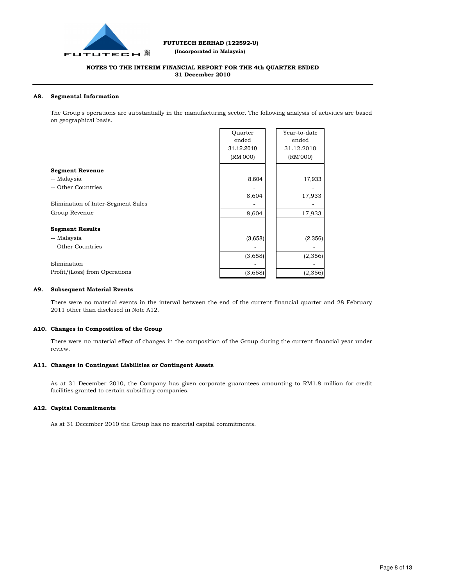

 **(Incorporated in Malaysia)**

#### **NOTES TO THE INTERIM FINANCIAL REPORT FOR THE 4th QUARTER ENDED 31 December 2010**

#### **A8. Segmental Information**

The Group's operations are substantially in the manufacturing sector. The following analysis of activities are based on geographical basis.

|                                    | Ouarter    | Year-to-date |
|------------------------------------|------------|--------------|
|                                    | ended      | ended        |
|                                    | 31.12.2010 | 31.12.2010   |
|                                    | (RM'000)   | (RM'000)     |
| <b>Segment Revenue</b>             |            |              |
| -- Malaysia                        | 8,604      | 17,933       |
| -- Other Countries                 |            |              |
|                                    | 8,604      | 17,933       |
| Elimination of Inter-Segment Sales |            |              |
| Group Revenue                      | 8,604      | 17,933       |
|                                    |            |              |
| <b>Segment Results</b>             |            |              |
| -- Malaysia                        | (3,658)    | (2,356)      |
| -- Other Countries                 |            |              |
|                                    | (3,658)    | (2, 356)     |
| Elimination                        |            |              |
| Profit/(Loss) from Operations      | (3,658)    | (2, 356)     |

#### **A9. Subsequent Material Events**

There were no material events in the interval between the end of the current financial quarter and 28 February 2011 other than disclosed in Note A12.

#### **A10. Changes in Composition of the Group**

There were no material effect of changes in the composition of the Group during the current financial year under review.

#### **A11. Changes in Contingent Liabilities or Contingent Assets**

As at 31 December 2010, the Company has given corporate guarantees amounting to RM1.8 million for credit facilities granted to certain subsidiary companies.

#### **A12. Capital Commitments**

As at 31 December 2010 the Group has no material capital commitments.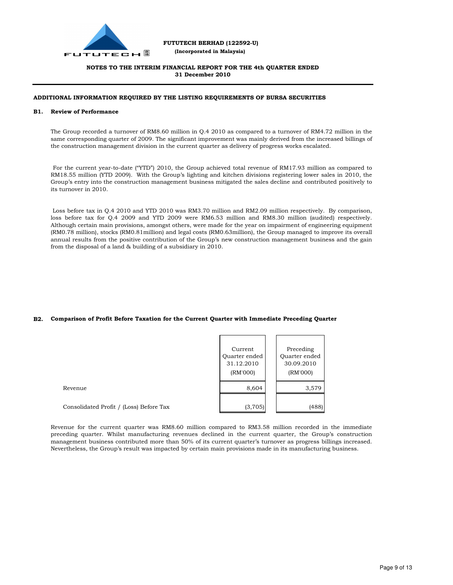

 **(Incorporated in Malaysia)**

## **NOTES TO THE INTERIM FINANCIAL REPORT FOR THE 4th QUARTER ENDED 31 December 2010**

### **ADDITIONAL INFORMATION REQUIRED BY THE LISTING REQUIREMENTS OF BURSA SECURITIES**

#### **B1. Review of Performance**

The Group recorded a turnover of RM8.60 million in Q.4 2010 as compared to a turnover of RM4.72 million in the same corresponding quarter of 2009. The significant improvement was mainly derived from the increased billings of the construction management division in the current quarter as delivery of progress works escalated.

For the current year-to-date ("YTD") 2010, the Group achieved total revenue of RM17.93 million as compared to RM18.55 million (YTD 2009). With the Group's lighting and kitchen divisions registering lower sales in 2010, the Group's entry into the construction management business mitigated the sales decline and contributed positively to its turnover in 2010.

Loss before tax in Q.4 2010 and YTD 2010 was RM3.70 million and RM2.09 million respectively. By comparison, loss before tax for Q.4 2009 and YTD 2009 were RM6.53 million and RM8.30 million (audited) respectively. Although certain main provisions, amongst others, were made for the year on impairment of engineering equipment (RM0.78 million), stocks (RM0.81million) and legal costs (RM0.63million), the Group managed to improve its overall annual results from the positive contribution of the Group's new construction management business and the gain from the disposal of a land & building of a subsidiary in 2010.

#### **B2. Comparison of Profit Before Taxation for the Current Quarter with Immediate Preceding Quarter**

|                                         | Current<br>Quarter ended<br>31.12.2010<br>(RM'000) | Preceding<br>Quarter ended<br>30.09.2010<br>(RM'000) |
|-----------------------------------------|----------------------------------------------------|------------------------------------------------------|
| Revenue                                 | 8,604                                              | 3,579                                                |
| Consolidated Profit / (Loss) Before Tax | (3,705)                                            | (488)                                                |

Revenue for the current quarter was RM8.60 million compared to RM3.58 million recorded in the immediate preceding quarter. Whilst manufacturing revenues declined in the current quarter, the Group's construction management business contributed more than 50% of its current quarter's turnover as progress billings increased. Nevertheless, the Group's result was impacted by certain main provisions made in its manufacturing business.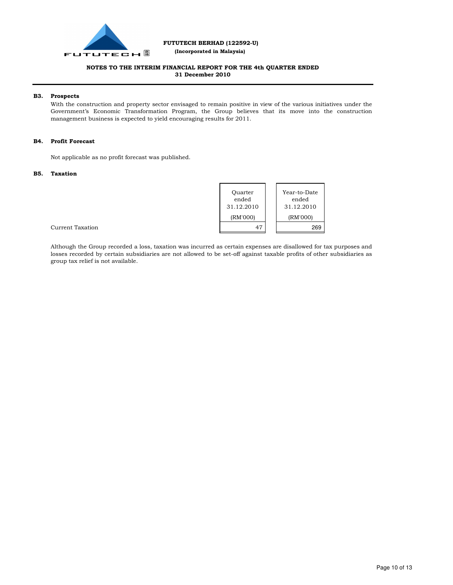

 **(Incorporated in Malaysia)**

## **NOTES TO THE INTERIM FINANCIAL REPORT FOR THE 4th QUARTER ENDED 31 December 2010**

**B3. Prospects**

With the construction and property sector envisaged to remain positive in view of the various initiatives under the Government's Economic Transformation Program, the Group believes that its move into the construction management business is expected to yield encouraging results for 2011.

#### **B4. Profit Forecast**

Not applicable as no profit forecast was published.

#### **B5. Taxation**

| Quarter<br>ended<br>31.12.2010 | Year-to-Date<br>ended<br>31.12.2010 |
|--------------------------------|-------------------------------------|
| (RM'000)                       | (RM'000)                            |
|                                |                                     |

Current Taxation

Although the Group recorded a loss, taxation was incurred as certain expenses are disallowed for tax purposes and losses recorded by certain subsidiaries are not allowed to be set-off against taxable profits of other subsidiaries as group tax relief is not available.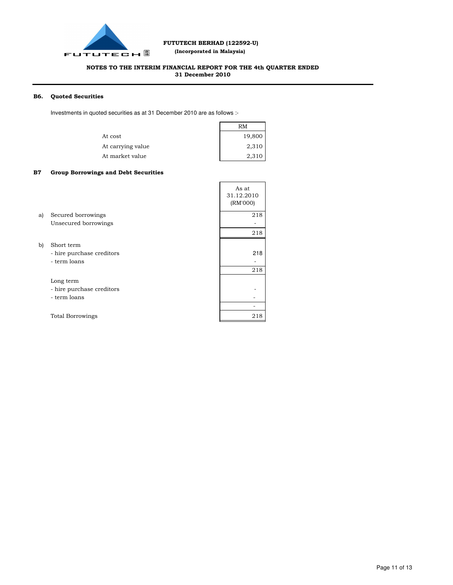

 **(Incorporated in Malaysia)**

#### **NOTES TO THE INTERIM FINANCIAL REPORT FOR THE 4th QUARTER ENDED 31 December 2010**

#### **B6. Quoted Securities**

Investments in quoted securities as at 31 December 2010 are as follows :-

|                   | RM     |  |
|-------------------|--------|--|
| At cost           | 19,800 |  |
| At carrying value | 2,310  |  |
| At market value   | 2,310  |  |

#### **B7 Group Borrowings and Debt Securities**

|    |                           | As at<br>31.12.2010<br>(RM'000) |
|----|---------------------------|---------------------------------|
| a) | Secured borrowings        | 218                             |
|    | Unsecured borrowings      |                                 |
|    |                           | 218                             |
| b) | Short term                |                                 |
|    | - hire purchase creditors | 218                             |
|    | - term loans              |                                 |
|    |                           | 218                             |
|    | Long term                 |                                 |
|    | - hire purchase creditors |                                 |
|    | - term loans              |                                 |
|    |                           |                                 |
|    | <b>Total Borrowings</b>   | 218                             |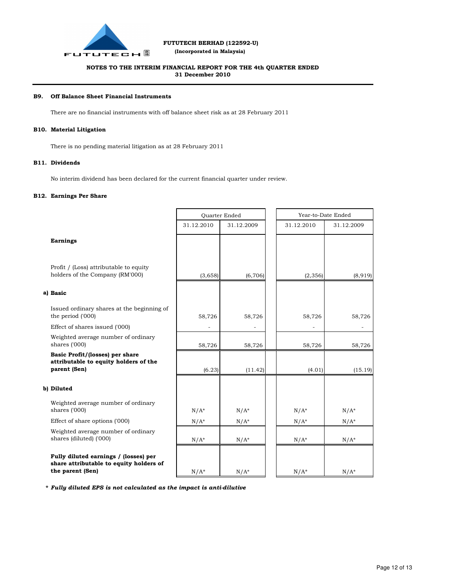

 **(Incorporated in Malaysia)**

### **NOTES TO THE INTERIM FINANCIAL REPORT FOR THE 4th QUARTER ENDED 31 December 2010**

#### **B9. Off Balance Sheet Financial Instruments**

There are no financial instruments with off balance sheet risk as at 28 February 2011

#### **B10. Material Litigation**

There is no pending material litigation as at 28 February 2011

#### **B11. Dividends**

No interim dividend has been declared for the current financial quarter under review.

#### **B12. Earnings Per Share**

|                                                                                                      |            | Quarter Ended | Year-to-Date Ended |            |
|------------------------------------------------------------------------------------------------------|------------|---------------|--------------------|------------|
|                                                                                                      | 31.12.2010 | 31.12.2009    | 31.12.2010         | 31.12.2009 |
| <b>Earnings</b>                                                                                      |            |               |                    |            |
| Profit / (Loss) attributable to equity<br>holders of the Company (RM'000)                            | (3,658)    | (6,706)       | (2, 356)           | (8,919)    |
| a) Basic                                                                                             |            |               |                    |            |
| Issued ordinary shares at the beginning of<br>the period ('000)                                      | 58,726     | 58,726        | 58,726             | 58,726     |
| Effect of shares issued ('000)                                                                       |            |               |                    |            |
| Weighted average number of ordinary<br>shares ('000)                                                 | 58,726     | 58,726        | 58,726             | 58,726     |
| Basic Profit/(losses) per share<br>attributable to equity holders of the<br>parent (Sen)             | (6.23)     | (11.42)       | (4.01)             | (15.19)    |
| b) Diluted                                                                                           |            |               |                    |            |
| Weighted average number of ordinary<br>shares ('000)                                                 | $N/A^*$    | $N/A^*$       | $N/A^*$            | $N/A^*$    |
| Effect of share options ('000)                                                                       | $N/A^*$    | $N/A^*$       | $N/A^*$            | $N/A^*$    |
| Weighted average number of ordinary<br>shares (diluted) ('000)                                       | $N/A^*$    | $N/A^*$       | $N/A^*$            | $N/A^*$    |
| Fully diluted earnings / (losses) per<br>share attributable to equity holders of<br>the parent (Sen) | $N/A^*$    | $N/A^*$       | $N/A^*$            | $N/A^*$    |

**\*** *Fully diluted EPS is not calculated as the impact is anti-dilutive*